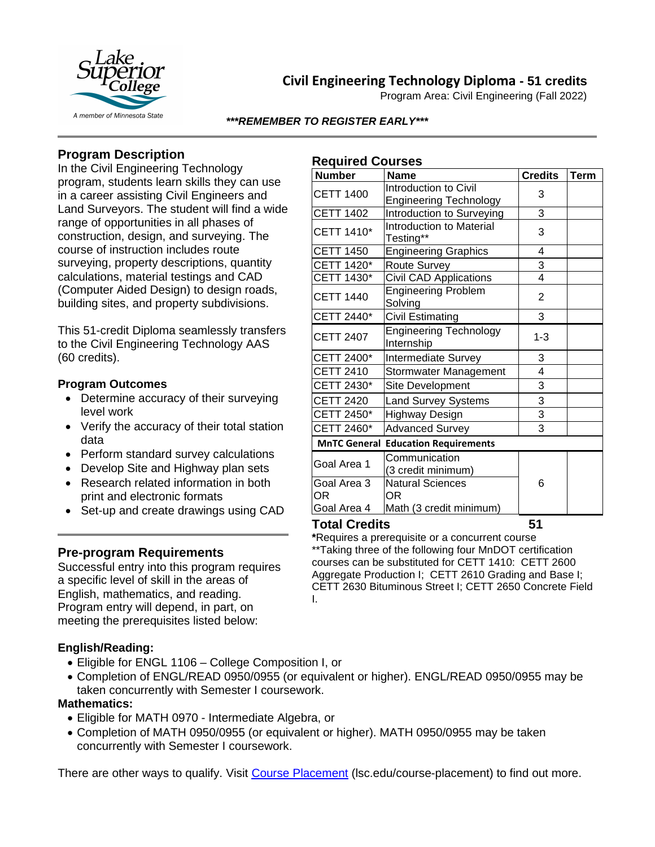

## **Civil Engineering Technology Diploma - 51 credits**

Program Area: Civil Engineering (Fall 2022)

#### *\*\*\*REMEMBER TO REGISTER EARLY\*\*\**

## **Program Description**

In the Civil Engineering Technology program, students learn skills they can use in a career assisting Civil Engineers and Land Surveyors. The student will find a wide range of opportunities in all phases of construction, design, and surveying. The course of instruction includes route surveying, property descriptions, quantity calculations, material testings and CAD (Computer Aided Design) to design roads, building sites, and property subdivisions.

This 51-credit Diploma seamlessly transfers to the Civil Engineering Technology AAS (60 credits).

### **Program Outcomes**

- Determine accuracy of their surveying level work
- Verify the accuracy of their total station data
- Perform standard survey calculations
- Develop Site and Highway plan sets
- Research related information in both print and electronic formats
- Set-up and create drawings using CAD

## **Pre-program Requirements**

Successful entry into this program requires a specific level of skill in the areas of English, mathematics, and reading. Program entry will depend, in part, on meeting the prerequisites listed below:

#### **English/Reading:**

- Eligible for ENGL 1106 College Composition I, or
- Completion of ENGL/READ 0950/0955 (or equivalent or higher). ENGL/READ 0950/0955 may be taken concurrently with Semester I coursework.

#### **Mathematics:**

- Eligible for MATH 0970 Intermediate Algebra, or
- Completion of MATH 0950/0955 (or equivalent or higher). MATH 0950/0955 may be taken concurrently with Semester I coursework.

There are other ways to qualify. Visit [Course Placement](https://www.lsc.edu/course-placement/) (lsc.edu/course-placement) to find out more.

## **Required Courses**

| <b>Number</b>                              | <b>Name</b>                                            | <b>Credits</b> | <b>Term</b> |
|--------------------------------------------|--------------------------------------------------------|----------------|-------------|
| <b>CETT 1400</b>                           | Introduction to Civil<br><b>Engineering Technology</b> | 3              |             |
| <b>CETT 1402</b>                           | Introduction to Surveying                              | 3              |             |
| CETT 1410*                                 | <b>Introduction to Material</b><br>Testing**           | 3              |             |
| <b>CETT 1450</b>                           | <b>Engineering Graphics</b>                            | 4              |             |
| CETT 1420*                                 | Route Survey                                           | 3              |             |
| CETT 1430*                                 | <b>Civil CAD Applications</b>                          | $\overline{4}$ |             |
| <b>CETT 1440</b>                           | <b>Engineering Problem</b><br>Solving                  | $\overline{2}$ |             |
| CETT 2440*                                 | <b>Civil Estimating</b>                                | 3              |             |
| <b>CETT 2407</b>                           | <b>Engineering Technology</b><br>Internship            | $1 - 3$        |             |
| CETT 2400*                                 | Intermediate Survey                                    | 3              |             |
| <b>CETT 2410</b>                           | Stormwater Management                                  | 4              |             |
| CETT 2430*                                 | Site Development                                       | 3              |             |
| <b>CETT 2420</b>                           | <b>Land Survey Systems</b>                             | 3              |             |
| CETT 2450*                                 | Highway Design                                         | $\overline{3}$ |             |
| CETT 2460*                                 | <b>Advanced Survey</b>                                 | 3              |             |
| <b>MnTC General Education Requirements</b> |                                                        |                |             |
| Goal Area 1                                | Communication<br>(3 credit minimum)                    |                |             |
| Goal Area 3<br>ΟR                          | <b>Natural Sciences</b><br>ΟR                          | 6              |             |
| Goal Area 4                                | Math (3 credit minimum)                                |                |             |
| <b>Total Credits</b>                       |                                                        | 51             |             |

**\***Requires a prerequisite or a concurrent course \*\*Taking three of the following four MnDOT certification courses can be substituted for CETT 1410: CETT 2600 Aggregate Production I; CETT 2610 Grading and Base I; CETT 2630 Bituminous Street I; CETT 2650 Concrete Field I.